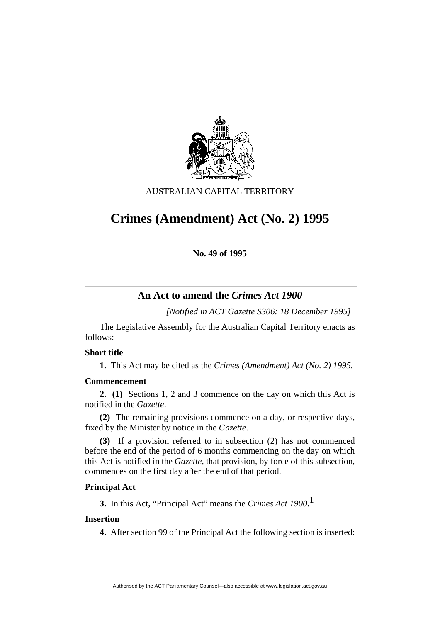

AUSTRALIAN CAPITAL TERRITORY

# **Crimes (Amendment) Act (No. 2) 1995**

**No. 49 of 1995** 

# **An Act to amend the** *Crimes Act 1900*

*[Notified in ACT Gazette S306: 18 December 1995]*

 The Legislative Assembly for the Australian Capital Territory enacts as follows:

### **Short title**

**1.** This Act may be cited as the *Crimes (Amendment) Act (No. 2) 1995.*

# **Commencement**

**2. (1)** Sections 1, 2 and 3 commence on the day on which this Act is notified in the *Gazette*.

**(2)** The remaining provisions commence on a day, or respective days, fixed by the Minister by notice in the *Gazette*.

**(3)** If a provision referred to in subsection (2) has not commenced before the end of the period of 6 months commencing on the day on which this Act is notified in the *Gazette*, that provision, by force of this subsection, commences on the first day after the end of that period.

#### **Principal Act**

**3.** In this Act, "Principal Act" means the *Crimes Act 1900*. 1

# **Insertion**

**4.** After section 99 of the Principal Act the following section is inserted: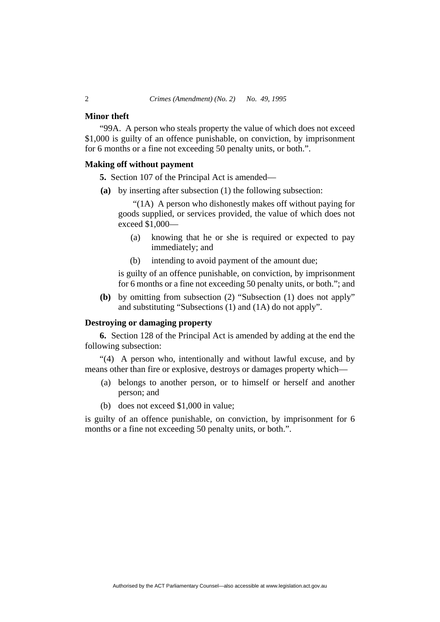#### **Minor theft**

"99A. A person who steals property the value of which does not exceed \$1,000 is guilty of an offence punishable, on conviction, by imprisonment for 6 months or a fine not exceeding 50 penalty units, or both.".

#### **Making off without payment**

**5.** Section 107 of the Principal Act is amended—

**(a)** by inserting after subsection (1) the following subsection:

"(1A) A person who dishonestly makes off without paying for goods supplied, or services provided, the value of which does not exceed \$1,000—

- (a) knowing that he or she is required or expected to pay immediately; and
- (b) intending to avoid payment of the amount due;

is guilty of an offence punishable, on conviction, by imprisonment for 6 months or a fine not exceeding 50 penalty units, or both."; and

**(b)** by omitting from subsection (2) "Subsection (1) does not apply" and substituting "Subsections (1) and (1A) do not apply".

## **Destroying or damaging property**

**6.** Section 128 of the Principal Act is amended by adding at the end the following subsection:

"(4) A person who, intentionally and without lawful excuse, and by means other than fire or explosive, destroys or damages property which—

- (a) belongs to another person, or to himself or herself and another person; and
- (b) does not exceed \$1,000 in value;

is guilty of an offence punishable, on conviction, by imprisonment for 6 months or a fine not exceeding 50 penalty units, or both.".